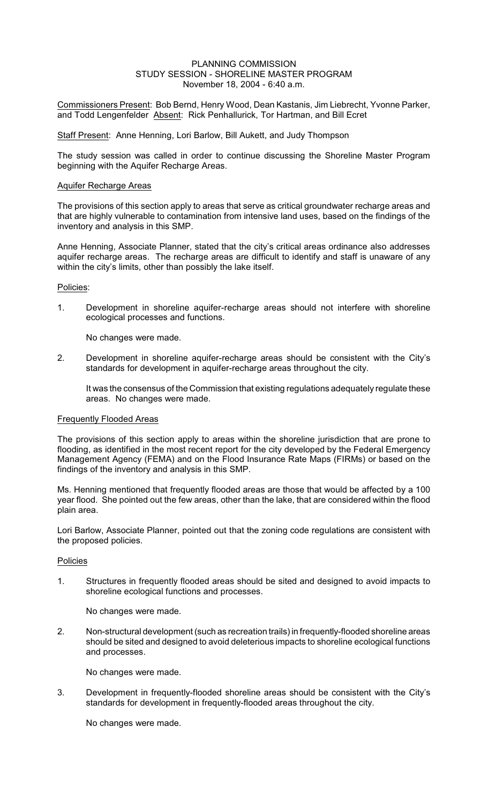### PLANNING COMMISSION STUDY SESSION - SHORELINE MASTER PROGRAM November 18, 2004 - 6:40 a.m.

Commissioners Present: Bob Bernd, Henry Wood, Dean Kastanis, Jim Liebrecht, Yvonne Parker, and Todd Lengenfelder Absent: Rick Penhallurick, Tor Hartman, and Bill Ecret

### Staff Present: Anne Henning, Lori Barlow, Bill Aukett, and Judy Thompson

The study session was called in order to continue discussing the Shoreline Master Program beginning with the Aquifer Recharge Areas.

## Aquifer Recharge Areas

The provisions of this section apply to areas that serve as critical groundwater recharge areas and that are highly vulnerable to contamination from intensive land uses, based on the findings of the inventory and analysis in this SMP.

Anne Henning, Associate Planner, stated that the city's critical areas ordinance also addresses aquifer recharge areas. The recharge areas are difficult to identify and staff is unaware of any within the city's limits, other than possibly the lake itself.

## Policies:

1. Development in shoreline aquifer-recharge areas should not interfere with shoreline ecological processes and functions.

No changes were made.

2. Development in shoreline aquifer-recharge areas should be consistent with the City's standards for development in aquifer-recharge areas throughout the city.

It was the consensus of the Commission that existing regulations adequately regulate these areas. No changes were made.

#### Frequently Flooded Areas

The provisions of this section apply to areas within the shoreline jurisdiction that are prone to flooding, as identified in the most recent report for the city developed by the Federal Emergency Management Agency (FEMA) and on the Flood Insurance Rate Maps (FIRMs) or based on the findings of the inventory and analysis in this SMP.

Ms. Henning mentioned that frequently flooded areas are those that would be affected by a 100 year flood. She pointed out the few areas, other than the lake, that are considered within the flood plain area.

Lori Barlow, Associate Planner, pointed out that the zoning code regulations are consistent with the proposed policies.

## Policies

1. Structures in frequently flooded areas should be sited and designed to avoid impacts to shoreline ecological functions and processes.

No changes were made.

2. Non-structural development (such as recreation trails) in frequently-flooded shoreline areas should be sited and designed to avoid deleterious impacts to shoreline ecological functions and processes.

No changes were made.

3. Development in frequently-flooded shoreline areas should be consistent with the City's standards for development in frequently-flooded areas throughout the city.

No changes were made.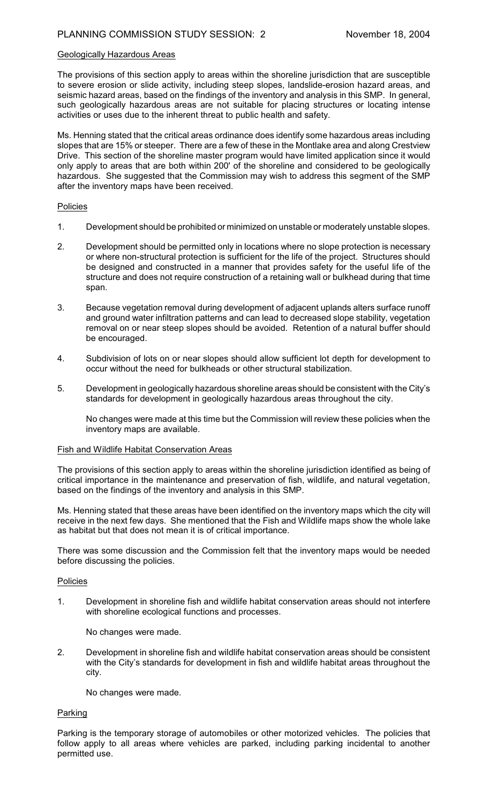## Geologically Hazardous Areas

The provisions of this section apply to areas within the shoreline jurisdiction that are susceptible to severe erosion or slide activity, including steep slopes, landslide-erosion hazard areas, and seismic hazard areas, based on the findings of the inventory and analysis in this SMP. In general, such geologically hazardous areas are not suitable for placing structures or locating intense activities or uses due to the inherent threat to public health and safety.

Ms. Henning stated that the critical areas ordinance does identify some hazardous areas including slopes that are 15% or steeper. There are a few of these in the Montlake area and along Crestview Drive. This section of the shoreline master program would have limited application since it would only apply to areas that are both within 200' of the shoreline and considered to be geologically hazardous. She suggested that the Commission may wish to address this segment of the SMP after the inventory maps have been received.

#### Policies

- 1. Development should be prohibited or minimized on unstable or moderately unstable slopes.
- 2. Development should be permitted only in locations where no slope protection is necessary or where non-structural protection is sufficient for the life of the project. Structures should be designed and constructed in a manner that provides safety for the useful life of the structure and does not require construction of a retaining wall or bulkhead during that time span.
- 3. Because vegetation removal during development of adjacent uplands alters surface runoff and ground water infiltration patterns and can lead to decreased slope stability, vegetation removal on or near steep slopes should be avoided. Retention of a natural buffer should be encouraged.
- 4. Subdivision of lots on or near slopes should allow sufficient lot depth for development to occur without the need for bulkheads or other structural stabilization.
- 5. Development in geologically hazardous shoreline areas should be consistent with the City's standards for development in geologically hazardous areas throughout the city.

No changes were made at this time but the Commission will review these policies when the inventory maps are available.

#### Fish and Wildlife Habitat Conservation Areas

The provisions of this section apply to areas within the shoreline jurisdiction identified as being of critical importance in the maintenance and preservation of fish, wildlife, and natural vegetation, based on the findings of the inventory and analysis in this SMP.

Ms. Henning stated that these areas have been identified on the inventory maps which the city will receive in the next few days. She mentioned that the Fish and Wildlife maps show the whole lake as habitat but that does not mean it is of critical importance.

There was some discussion and the Commission felt that the inventory maps would be needed before discussing the policies.

## Policies

1. Development in shoreline fish and wildlife habitat conservation areas should not interfere with shoreline ecological functions and processes.

No changes were made.

2. Development in shoreline fish and wildlife habitat conservation areas should be consistent with the City's standards for development in fish and wildlife habitat areas throughout the city.

No changes were made.

## Parking

Parking is the temporary storage of automobiles or other motorized vehicles. The policies that follow apply to all areas where vehicles are parked, including parking incidental to another permitted use.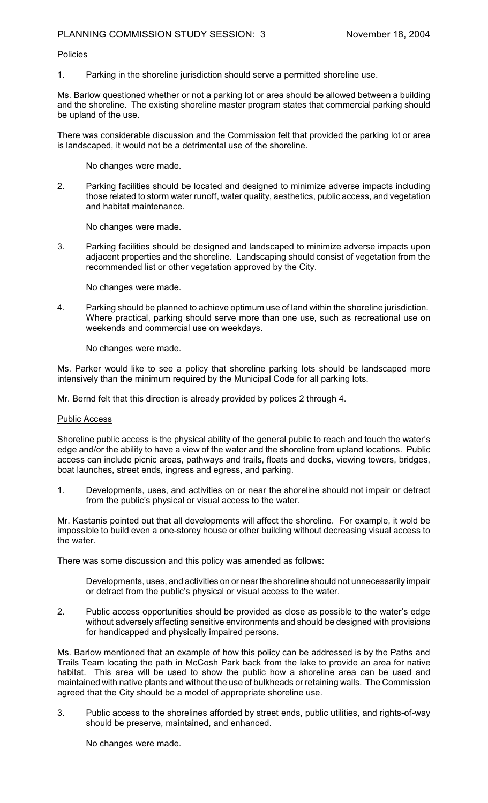# Policies

1. Parking in the shoreline jurisdiction should serve a permitted shoreline use.

Ms. Barlow questioned whether or not a parking lot or area should be allowed between a building and the shoreline. The existing shoreline master program states that commercial parking should be upland of the use.

There was considerable discussion and the Commission felt that provided the parking lot or area is landscaped, it would not be a detrimental use of the shoreline.

No changes were made.

2. Parking facilities should be located and designed to minimize adverse impacts including those related to storm water runoff, water quality, aesthetics, public access, and vegetation and habitat maintenance.

No changes were made.

3. Parking facilities should be designed and landscaped to minimize adverse impacts upon adjacent properties and the shoreline. Landscaping should consist of vegetation from the recommended list or other vegetation approved by the City.

No changes were made.

4. Parking should be planned to achieve optimum use of land within the shoreline jurisdiction. Where practical, parking should serve more than one use, such as recreational use on weekends and commercial use on weekdays.

No changes were made.

Ms. Parker would like to see a policy that shoreline parking lots should be landscaped more intensively than the minimum required by the Municipal Code for all parking lots.

Mr. Bernd felt that this direction is already provided by polices 2 through 4.

## Public Access

Shoreline public access is the physical ability of the general public to reach and touch the water's edge and/or the ability to have a view of the water and the shoreline from upland locations. Public access can include picnic areas, pathways and trails, floats and docks, viewing towers, bridges, boat launches, street ends, ingress and egress, and parking.

1. Developments, uses, and activities on or near the shoreline should not impair or detract from the public's physical or visual access to the water.

Mr. Kastanis pointed out that all developments will affect the shoreline. For example, it wold be impossible to build even a one-storey house or other building without decreasing visual access to the water.

There was some discussion and this policy was amended as follows:

Developments, uses, and activities on or near the shoreline should not unnecessarily impair or detract from the public's physical or visual access to the water.

2. Public access opportunities should be provided as close as possible to the water's edge without adversely affecting sensitive environments and should be designed with provisions for handicapped and physically impaired persons.

Ms. Barlow mentioned that an example of how this policy can be addressed is by the Paths and Trails Team locating the path in McCosh Park back from the lake to provide an area for native habitat. This area will be used to show the public how a shoreline area can be used and maintained with native plants and without the use of bulkheads or retaining walls. The Commission agreed that the City should be a model of appropriate shoreline use.

3. Public access to the shorelines afforded by street ends, public utilities, and rights-of-way should be preserve, maintained, and enhanced.

No changes were made.